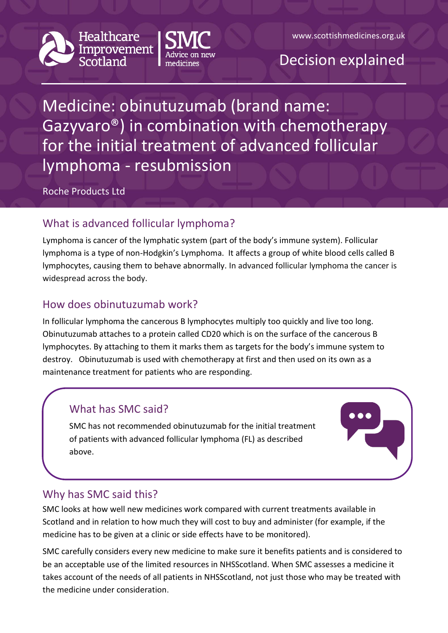





Medicine: obinutuzumab (brand name: Gazyvaro®) in combination with chemotherapy for the initial treatment of advanced follicular lymphoma - resubmission

Roche Products Ltd

# What is advanced follicular lymphoma?

Lymphoma is cancer of the lymphatic system (part of the body's immune system). Follicular lymphoma is a type of non-Hodgkin's Lymphoma. It affects a group of white blood cells called B lymphocytes, causing them to behave abnormally. In advanced follicular lymphoma the cancer is widespread across the body.

## How does obinutuzumab work?

In follicular lymphoma the cancerous B lymphocytes multiply too quickly and live too long. Obinutuzumab attaches to a protein called CD20 which is on the surface of the cancerous B lymphocytes. By attaching to them it marks them as targets for the body's immune system to destroy. Obinutuzumab is used with chemotherapy at first and then used on its own as a maintenance treatment for patients who are responding.

## What has SMC said?

SMC has not recommended obinutuzumab for the initial treatment of patients with advanced follicular lymphoma (FL) as described above.



#### Why has SMC said this?

SMC looks at how well new medicines work compared with current treatments available in Scotland and in relation to how much they will cost to buy and administer (for example, if the medicine has to be given at a clinic or side effects have to be monitored).

SMC carefully considers every new medicine to make sure it benefits patients and is considered to be an acceptable use of the limited resources in NHSScotland. When SMC assesses a medicine it takes account of the needs of all patients in NHSScotland, not just those who may be treated with the medicine under consideration.